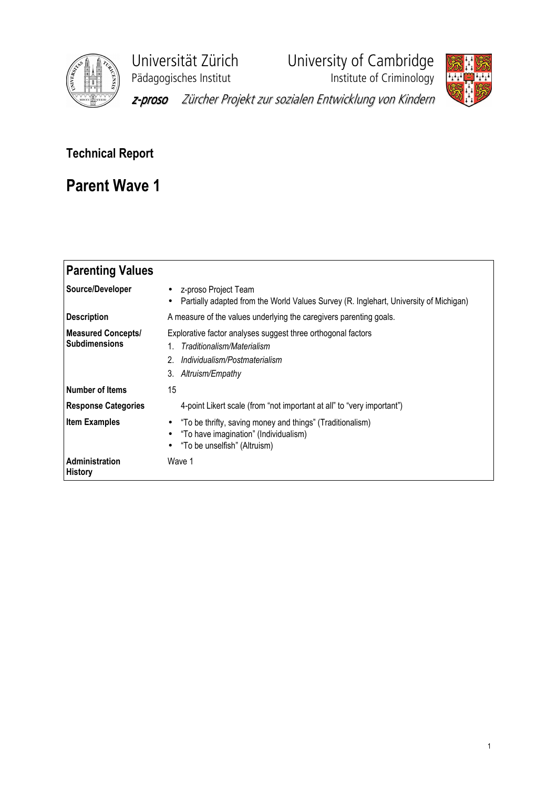

Universität Zürich University of Cambridge<br>Pädagogisches Institut Institute of Criminology





z-proso Zürcher Projekt zur sozialen Entwicklung von Kindern

# Technical Report

# Parent Wave 1

| <b>Parenting Values</b>                           |                                                                                                                                                       |
|---------------------------------------------------|-------------------------------------------------------------------------------------------------------------------------------------------------------|
| Source/Developer                                  | z-proso Project Team<br>$\bullet$<br>Partially adapted from the World Values Survey (R. Inglehart, University of Michigan)<br>$\bullet$               |
| <b>Description</b>                                | A measure of the values underlying the caregivers parenting goals.                                                                                    |
| <b>Measured Concepts/</b><br><b>Subdimensions</b> | Explorative factor analyses suggest three orthogonal factors<br>Traditionalism/Materialism<br>Individualism/Postmaterialism<br>3.<br>Altruism/Empathy |
| <b>Number of Items</b>                            | 15                                                                                                                                                    |
| <b>Response Categories</b>                        | 4-point Likert scale (from "not important at all" to "very important")                                                                                |
| <b>Item Examples</b>                              | "To be thrifty, saving money and things" (Traditionalism)<br>٠<br>"To have imagination" (Individualism)<br>"To be unselfish" (Altruism)               |
| Administration<br><b>History</b>                  | Wave 1                                                                                                                                                |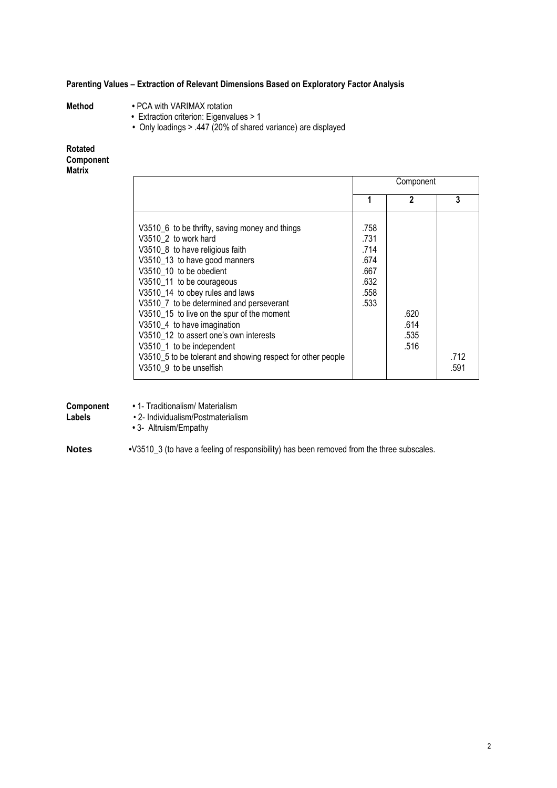## Parenting Values – Extraction of Relevant Dimensions Based on Exploratory Factor Analysis

- 
- Method PCA with VARIMAX rotation
	- Extraction criterion: Eigenvalues > 1
- Only loadings > .447 (20% of shared variance) are displayed

### Rotated **Component Matrix**

|                                                                                                                                                                                                                                                                                                                                                                                                                                                                                                                                 |                                                              | Component                    |              |
|---------------------------------------------------------------------------------------------------------------------------------------------------------------------------------------------------------------------------------------------------------------------------------------------------------------------------------------------------------------------------------------------------------------------------------------------------------------------------------------------------------------------------------|--------------------------------------------------------------|------------------------------|--------------|
|                                                                                                                                                                                                                                                                                                                                                                                                                                                                                                                                 | 1                                                            | 2                            | 3            |
| V3510_6 to be thrifty, saving money and things<br>V3510 2 to work hard<br>V3510_8 to have religious faith<br>V3510 13 to have good manners<br>V3510 10 to be obedient<br>V3510_11 to be courageous<br>V3510_14 to obey rules and laws<br>V3510_7 to be determined and perseverant<br>V3510_15 to live on the spur of the moment<br>V3510 4 to have imagination<br>V3510 12 to assert one's own interests<br>V3510 1 to be independent<br>V3510_5 to be tolerant and showing respect for other people<br>V3510 9 to be unselfish | .758<br>.731<br>.714<br>.674<br>.667<br>.632<br>.558<br>.533 | .620<br>.614<br>.535<br>.516 | .712<br>.591 |

| Component<br>Labels | • 1- Traditionalism/ Materialism<br>• 2- Individualism/Postmaterialism<br>• 3- Altruism/Empathy |
|---------------------|-------------------------------------------------------------------------------------------------|
| <b>Notes</b>        | •V3510_3 (to have a feeling of responsibility) has been removed from the three subscales.       |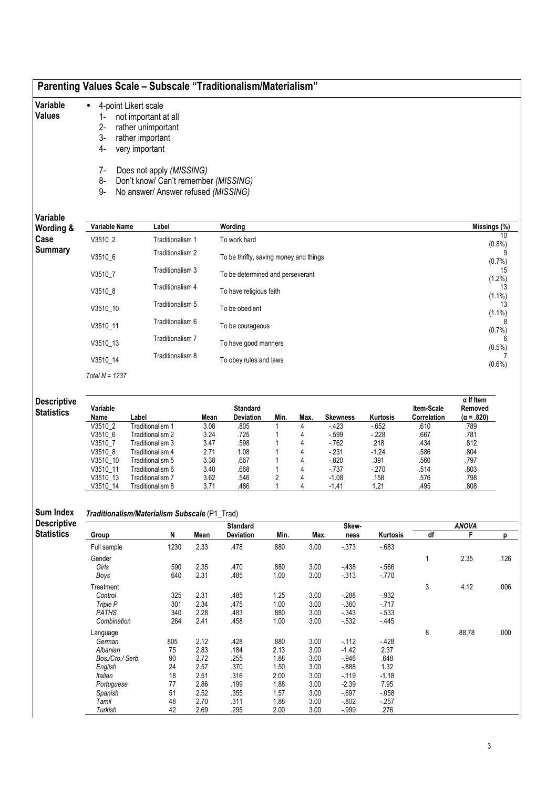| Variable                                             |                             | 4-point Likert scale                                                                                    |              |                                        |                     |              |                    |                    |                                  |                                                  |                              |
|------------------------------------------------------|-----------------------------|---------------------------------------------------------------------------------------------------------|--------------|----------------------------------------|---------------------|--------------|--------------------|--------------------|----------------------------------|--------------------------------------------------|------------------------------|
| <b>Values</b>                                        |                             | not important at all                                                                                    |              |                                        |                     |              |                    |                    |                                  |                                                  |                              |
|                                                      | $2-$                        | rather unimportant                                                                                      |              |                                        |                     |              |                    |                    |                                  |                                                  |                              |
|                                                      | 3-                          | rather important                                                                                        |              |                                        |                     |              |                    |                    |                                  |                                                  |                              |
|                                                      | 4-                          | very important                                                                                          |              |                                        |                     |              |                    |                    |                                  |                                                  |                              |
|                                                      | 7-<br>8-<br>$9-$            | Does not apply (MISSING)<br>Don't know/ Can't remember (MISSING)<br>No answer/ Answer refused (MISSING) |              |                                        |                     |              |                    |                    |                                  |                                                  |                              |
| Variable                                             | Variable Name               | Label                                                                                                   |              | Wording                                |                     |              |                    |                    |                                  | Missings (%)                                     |                              |
| Wording &<br>Case                                    | V3510_2                     | Traditionalism 1                                                                                        |              | To work hard                           |                     |              |                    |                    |                                  |                                                  | 10                           |
| <b>Summary</b>                                       | V3510_6                     | Traditionalism 2                                                                                        |              | To be thrifty, saving money and things |                     |              |                    |                    |                                  |                                                  | (0.8% )<br>9                 |
|                                                      | V3510_7                     | Traditionalism 3                                                                                        |              | To be determined and perseverant       |                     |              |                    |                    |                                  |                                                  | (0.7%<br>15                  |
|                                                      | V3510 8                     | Traditionalism 4                                                                                        |              | To have religious faith                |                     |              |                    |                    |                                  |                                                  | $(1.2\%)$<br>13              |
|                                                      | V3510_10                    | Traditionalism 5                                                                                        |              | To be obedient                         |                     |              |                    |                    |                                  |                                                  | $(1.1\%)$<br>13<br>$(1.1\%)$ |
|                                                      | V3510_11                    | Traditionalism 6                                                                                        |              | To be courageous                       |                     |              |                    |                    |                                  |                                                  |                              |
|                                                      | V3510_13                    | Traditionalism 7                                                                                        |              | To have good manners                   |                     |              |                    |                    |                                  |                                                  | (0.7%)<br>$(0.5\%)$          |
|                                                      | V3510_14                    | Traditionalism 8                                                                                        |              | To obey rules and laws                 |                     |              |                    |                    |                                  |                                                  | $(0.6\%)$                    |
|                                                      | Total $N = 1237$            |                                                                                                         |              |                                        |                     |              |                    |                    |                                  |                                                  |                              |
|                                                      |                             |                                                                                                         |              |                                        |                     |              |                    |                    |                                  |                                                  |                              |
| <b>Descriptive</b><br><b>Statistics</b>              | Variable<br>Name            | Label                                                                                                   | Mean         | <b>Standard</b><br><b>Deviation</b>    | Min.                | Max.         | <b>Skewness</b>    | Kurtosis           | <b>Item-Scale</b><br>Correlation | $\alpha$ If Item<br>Removed<br>$(\alpha = .820)$ |                              |
|                                                      | V3510 2<br>V3510 6          | Traditionalism 1<br>Traditionalism 2                                                                    | 3.08<br>3.24 | .805<br>.725                           | 1<br>1              | 4<br>4       | $-423$<br>$-599$   | $-652$<br>$-228$   | .610<br>.667                     | .789<br>.781                                     |                              |
|                                                      | V3510_7                     | Traditionalism 3                                                                                        | 3.47         | .598                                   |                     | 4            | $-762$             | .218               | .434                             | .812                                             |                              |
|                                                      | V3510_8                     | Traditionalism 4                                                                                        | 2.71         | 1.08                                   |                     | 4            | $-231$             | $-1.24$            | .586                             | .804                                             |                              |
|                                                      | V3510_10                    | Traditionalism 5                                                                                        | 3.38         | .667                                   |                     | 4            | $-820$             | .391               | .560                             | .797                                             |                              |
|                                                      | V3510_11                    | Traditionalism 6                                                                                        | 3.40         | .668                                   |                     | 4            | $-737$             | $-270$             | .514                             | .803                                             |                              |
|                                                      | V3510_13                    | Traditionalism 7                                                                                        | 3.62         | .546                                   | $\overline{2}$<br>1 | 4<br>Δ       | $-1.08$            | .158               | .576                             | .798                                             |                              |
|                                                      |                             |                                                                                                         |              |                                        |                     |              | -1.41              | 1.21               | .495                             | .808                                             |                              |
|                                                      | V3510_14                    | Traditionalism 8                                                                                        | 3.71         | .486                                   |                     |              |                    |                    |                                  |                                                  |                              |
|                                                      |                             | Traditionalism/Materialism Subscale (P1_Trad)                                                           |              |                                        |                     |              |                    |                    |                                  |                                                  |                              |
|                                                      |                             |                                                                                                         | Mean         | <b>Standard</b><br>Deviation           | Min.                | Max.         | Skew-<br>ness      | Kurtosis           |                                  | <b>ANOVA</b><br>F.                               |                              |
|                                                      | Group<br>Full sample        | N<br>1230                                                                                               | 2.33         | .478                                   | .880                | 3.00         | $-373$             | $-683$             | df                               |                                                  | p                            |
|                                                      | Gender                      |                                                                                                         |              |                                        |                     |              |                    |                    | 1                                | 2.35                                             | .126                         |
|                                                      | Girls                       | 590                                                                                                     | 2.35         | .470                                   | .880                | 3.00         | $-438$             | $-566$             |                                  |                                                  |                              |
|                                                      | Boys                        | 640                                                                                                     | 2.31         | .485                                   | 1.00                | 3.00         | $-313$             | $-770$             |                                  |                                                  |                              |
|                                                      | Treatment                   |                                                                                                         |              |                                        |                     |              |                    |                    | 3                                | 4.12                                             | .006                         |
|                                                      | Control                     | 325                                                                                                     | 2.31         | .485                                   | 1.25                | 3.00         | $-288$             | $-.932$            |                                  |                                                  |                              |
|                                                      | Triple P                    | 301                                                                                                     | 2.34         | .475                                   | 1.00                | 3.00         | $-0.360$           | $-717$             |                                  |                                                  |                              |
|                                                      | <b>PATHS</b><br>Combination | 340<br>264                                                                                              | 2.28<br>2.41 | .483<br>.458                           | .880<br>1.00        | 3.00<br>3.00 | $-343$<br>$-532$   | $-533$<br>$-445$   |                                  |                                                  |                              |
|                                                      |                             |                                                                                                         |              |                                        |                     |              |                    |                    |                                  |                                                  | .000                         |
|                                                      | Language<br>German          | 805                                                                                                     | 2.12         | .428                                   | .880                | 3.00         | $-112$             | $-428$             | 8                                | 88.78                                            |                              |
|                                                      | Albanian                    | 75                                                                                                      | 2.83         | .184                                   | 2.13                | 3.00         | $-1.42$            | 2.37               |                                  |                                                  |                              |
|                                                      | Bos./Cro./ Serb.            | 90                                                                                                      | 2.72         | .255                                   | 1.88                | 3.00         | $-946$             | .648               |                                  |                                                  |                              |
|                                                      | English                     | 24                                                                                                      | 2.57         | .370                                   | 1.50                | 3.00         | $-0.888$           | 1.32               |                                  |                                                  |                              |
|                                                      | Italian                     | 18                                                                                                      | 2.51         | .316                                   | 2.00                | 3.00         | $-119$             | $-1.18$            |                                  |                                                  |                              |
|                                                      | Portuguese                  | 77                                                                                                      | 2.86         | .199                                   | 1.88                | 3.00         | $-2.39$            | 7.95               |                                  |                                                  |                              |
| Sum Index<br><b>Descriptive</b><br><b>Statistics</b> | Spanish<br>Tamil            | 51<br>48                                                                                                | 2.52<br>2.70 | .355<br>.311                           | 1.57<br>1.88        | 3.00<br>3.00 | $-697$<br>$-0.802$ | $-0.058$<br>$-257$ |                                  |                                                  |                              |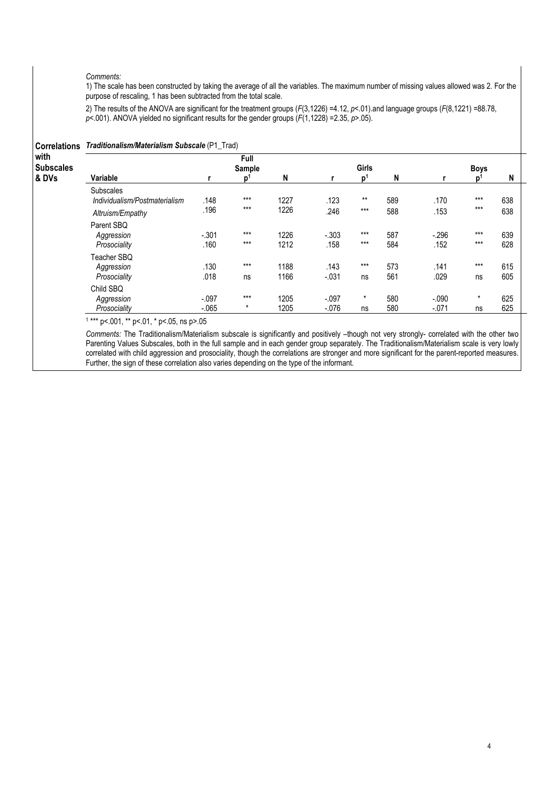#### Comments:

1) The scale has been constructed by taking the average of all the variables. The maximum number of missing values allowed was 2. For the purpose of rescaling, 1 has been subtracted from the total scale.

2) The results of the ANOVA are significant for the treatment groups (F(3,1226) =4.12, p<.01).and language groups (F(8,1221) =88.78,  $p$  < 001). ANOVA yielded no significant results for the gender groups  $(F(1,1228)$  =2.35,  $p$ >.05).

|                                           |                                               | Full<br>Sample   |              |                 | Girls          |            |                 | <b>Boys</b>     |                                                                                     |
|-------------------------------------------|-----------------------------------------------|------------------|--------------|-----------------|----------------|------------|-----------------|-----------------|-------------------------------------------------------------------------------------|
| Variable                                  |                                               | p                | N            |                 | p <sup>1</sup> | N          |                 | D <sup>1</sup>  | N                                                                                   |
| <b>Subscales</b>                          |                                               | $***$            |              |                 | $***$          |            |                 | $***$           | 638                                                                                 |
| Altruism/Empathy                          | .196                                          | $***$            | 1226         | .246            | $***$          | 588        | .153            | $***$           | 638                                                                                 |
| Parent SBQ<br>Aggression<br>Prosociality  | $-.301$<br>.160                               | $***$<br>$***$   | 1226<br>1212 | $-.303$<br>.158 | $***$<br>$***$ | 587<br>584 | $-.296$<br>.152 | $***$<br>$***$  | 639<br>628                                                                          |
| Teacher SBQ<br>Aggression<br>Prosociality | .130<br>.018                                  | $***$<br>ns      | 1188<br>1166 | .143<br>$-.031$ | $***$<br>ns    | 573<br>561 | .141<br>.029    | $***$<br>ns     | 615<br>605                                                                          |
| Child SBO<br>Aggression                   | $-.097$                                       | $***$<br>$\star$ | 1205         | $-.097$         | $\star$        | 580        | $-.090$         | $\star$         | 625<br>625                                                                          |
|                                           | Individualism/Postmaterialism<br>Prosociality | .148<br>$-065$   |              | 1227<br>1205    | .123           | ns         | 589             | .170<br>$-.071$ | Correlations Traditionalism/Materialism Subscale (P1_Trad)<br>580<br>$-0.076$<br>ns |

1 \*\*\* p<.001, \*\* p<.01, \* p<.05, ns p>.05

Comments: The Traditionalism/Materialism subscale is significantly and positively –though not very strongly- correlated with the other two Parenting Values Subscales, both in the full sample and in each gender group separately. The Traditionalism/Materialism scale is very lowly correlated with child aggression and prosociality, though the correlations are stronger and more significant for the parent-reported measures. Further, the sign of these correlation also varies depending on the type of the informant.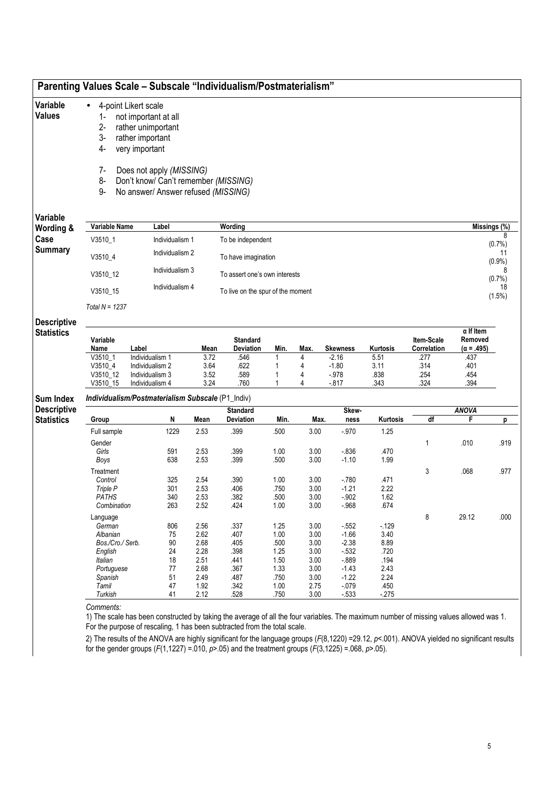| Variable<br><b>Values</b>              | 4-point Likert scale<br>$\bullet$<br>$1-$<br>$2 -$<br>3-<br>rather important<br>4-<br>very important<br>$7-$ | not important at all<br>rather unimportant<br>Does not apply (MISSING)      |                      |                                      |              |              |                             |                      |                                   |                                                          |                         |
|----------------------------------------|--------------------------------------------------------------------------------------------------------------|-----------------------------------------------------------------------------|----------------------|--------------------------------------|--------------|--------------|-----------------------------|----------------------|-----------------------------------|----------------------------------------------------------|-------------------------|
|                                        | 8-<br>9-                                                                                                     | Don't know/ Can't remember (MISSING)<br>No answer/ Answer refused (MISSING) |                      |                                      |              |              |                             |                      |                                   |                                                          |                         |
| Variable<br>Wording &                  | Variable Name                                                                                                | Label                                                                       |                      | Wording                              |              |              |                             |                      |                                   | Missings (%)                                             |                         |
| Case                                   | V3510_1                                                                                                      | Individualism 1                                                             |                      | To be independent                    |              |              |                             |                      |                                   |                                                          |                         |
| <b>Summary</b>                         | V3510_4                                                                                                      | Individualism 2                                                             |                      | To have imagination                  |              |              |                             |                      |                                   |                                                          | (0.7%<br>11             |
|                                        | Individualism 3<br>V3510_12                                                                                  |                                                                             |                      | To assert one's own interests        |              |              |                             |                      |                                   |                                                          | $(0.9\%)$<br>8<br>(0.7% |
|                                        | V3510_15                                                                                                     | Individualism 4                                                             |                      | To live on the spur of the moment    |              |              |                             |                      |                                   |                                                          | 18<br>(1.5%)            |
| <b>Descriptive</b>                     | Total $N = 1237$                                                                                             |                                                                             |                      |                                      |              |              |                             |                      |                                   |                                                          |                         |
| <b>Statistics</b>                      | Variable<br>Name<br>Label<br>V3510 1                                                                         | Individualism 1                                                             | Mean<br>3.72         | <b>Standard</b><br>Deviation<br>.546 | Min.<br>1    | Max.<br>4    | <b>Skewness</b><br>$-2.16$  | Kurtosis<br>5.51     | Item-Scale<br>Correlation<br>.277 | $\alpha$ If Item<br>Removed<br>$(\alpha = .495)$<br>.437 |                         |
|                                        | $V3510_4$<br>V3510_12<br>V3510_15                                                                            | Individualism 2<br>Individualism 3<br>Individualism 4                       | 3.64<br>3.52<br>3.24 | .622<br>.589<br>.760                 | 1<br>1<br>1  | 4<br>4<br>4  | $-1.80$<br>$-978$<br>$-817$ | 3.11<br>.838<br>.343 | .314<br>.254<br>.324              | .401<br>.454<br>.394                                     |                         |
| <b>Sum Index</b><br><b>Descriptive</b> | Individualism/Postmaterialism Subscale (P1_Indiv)                                                            |                                                                             |                      |                                      |              |              |                             |                      |                                   |                                                          |                         |
| <b>Statistics</b>                      | Group                                                                                                        | N                                                                           | Mean                 | <b>Standard</b><br>Deviation         | Min.         | Max.         | Skew-<br>ness               | Kurtosis             | df                                | <b>ANOVA</b><br>F.                                       | р                       |
|                                        | Full sample                                                                                                  | 1229                                                                        | 2.53                 | .399                                 | .500         | 3.00         | $-.970$                     | 1.25                 |                                   |                                                          |                         |
|                                        | Gender                                                                                                       |                                                                             |                      |                                      |              |              |                             |                      | 1                                 | .010                                                     | .919                    |
|                                        | Girls                                                                                                        | 591                                                                         | 2.53                 | .399                                 | 1.00         | 3.00         | $-836$                      | .470                 |                                   |                                                          |                         |
|                                        | Boys                                                                                                         | 638                                                                         | 2.53                 | .399                                 | .500         | 3.00         | $-1.10$                     | 1.99                 |                                   |                                                          |                         |
|                                        | Treatment<br>Control                                                                                         | 325                                                                         | 2.54                 | .390                                 | 1.00         | 3.00         | $-780$                      | .471                 | 3                                 | .068                                                     | .977                    |
|                                        | Triple P                                                                                                     | 301                                                                         | 2.53                 | .406                                 | .750         | 3.00         | $-1.21$                     | 2.22                 |                                   |                                                          |                         |
|                                        | <b>PATHS</b>                                                                                                 | 340                                                                         | 2.53                 | .382                                 | .500         | 3.00         | $-.902$                     | 1.62                 |                                   |                                                          |                         |
|                                        | Combination                                                                                                  | 263                                                                         | 2.52                 | .424                                 | 1.00         | 3.00         | $-.968$                     | .674                 |                                   |                                                          |                         |
|                                        | Language                                                                                                     |                                                                             |                      |                                      |              |              |                             |                      | 8                                 | 29.12                                                    | .000                    |
|                                        | German                                                                                                       | 806                                                                         | 2.56                 | .337                                 | 1.25         | 3.00         | $-552$                      | $-129$               |                                   |                                                          |                         |
|                                        |                                                                                                              | 75                                                                          | 2.62                 | .407                                 | 1.00         | 3.00         | $-1.66$                     | 3.40                 |                                   |                                                          |                         |
|                                        | Albanian                                                                                                     |                                                                             |                      | .405                                 | .500         | 3.00         | $-2.38$                     | 8.89                 |                                   |                                                          |                         |
|                                        | Bos./Cro./ Serb.                                                                                             | 90                                                                          | 2.68                 |                                      |              |              | $-532$                      | .720                 |                                   |                                                          |                         |
|                                        | English                                                                                                      | 24                                                                          | 2.28                 | .398                                 | 1.25         | 3.00         |                             |                      |                                   |                                                          |                         |
|                                        | Italian                                                                                                      | 18                                                                          | 2.51                 | .441                                 | 1.50         | 3.00         | $-0.889$                    | .194                 |                                   |                                                          |                         |
|                                        | Portuguese                                                                                                   | $77$                                                                        | 2.68                 | .367                                 | 1.33         | 3.00         | $-1.43$                     | 2.43                 |                                   |                                                          |                         |
|                                        | Spanish                                                                                                      | 51                                                                          | 2.49                 | .487                                 | .750         | 3.00         | $-1.22$                     | 2.24                 |                                   |                                                          |                         |
|                                        | Tamil<br>Turkish                                                                                             | 47<br>41                                                                    | 1.92<br>2.12         | .342<br>.528                         | 1.00<br>.750 | 2.75<br>3.00 | $-.079$<br>$-533$           | .450<br>$-275$       |                                   |                                                          |                         |

2) The results of the ANOVA are highly significant for the language groups (F(8,1220) =29.12, p<.001). ANOVA yielded no significant results for the gender groups  $(F(1,1227) = .010, p > .05)$  and the treatment groups  $(F(3,1225) = .068, p > .05)$ .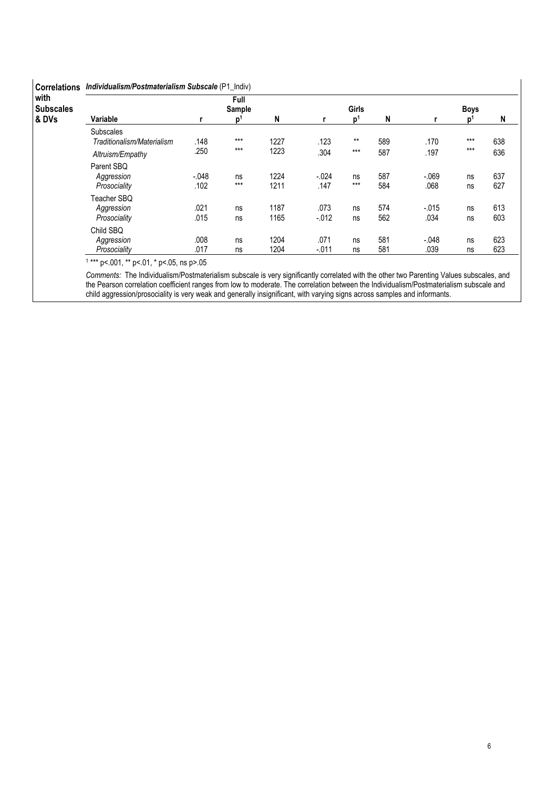| with<br><b>Subscales</b> |                                                |                 | Full<br>Sample |              |                  | <b>Girls</b>   |            |                 |          |            |
|--------------------------|------------------------------------------------|-----------------|----------------|--------------|------------------|----------------|------------|-----------------|----------|------------|
| & DVs                    | Variable                                       | r               | p <sup>1</sup> | N            |                  | $\mathbf{D}^1$ | N          |                 | n        | N          |
|                          | <b>Subscales</b><br>Traditionalism/Materialism | .148            | $***$          | 1227         | .123             | $***$          | 589        | .170            | $***$    | 638        |
|                          | Altruism/Empathy                               | .250            | $***$          | 1223         | .304             | $***$          | 587        | .197            | $***$    | 636        |
|                          | Parent SBQ<br>Aggression<br>Prosociality       | $-.048$<br>.102 | ns<br>$***$    | 1224<br>1211 | $-.024$<br>.147  | ns<br>$***$    | 587<br>584 | $-069$<br>.068  | ns<br>ns | 637<br>627 |
|                          | Teacher SBQ<br>Aggression<br>Prosociality      | .021<br>.015    | ns<br>ns       | 1187<br>1165 | .073<br>$-0.012$ | ns<br>ns       | 574<br>562 | $-.015$<br>.034 | ns<br>ns | 613<br>603 |
|                          | Child SBQ<br>Aggression<br>Prosociality        | .008<br>.017    | ns<br>ns       | 1204<br>1204 | .071<br>$-.011$  | ns<br>ns       | 581<br>581 | $-.048$<br>.039 | ns<br>ns | 623<br>623 |

1 \*\*\* p<.001, \*\* p<.01, \* p<.05, ns p>.05

Comments: The Individualism/Postmaterialism subscale is very significantly correlated with the other two Parenting Values subscales, and the Pearson correlation coefficient ranges from low to moderate. The correlation between the Individualism/Postmaterialism subscale and child aggression/prosociality is very weak and generally insignificant, with varying signs across samples and informants.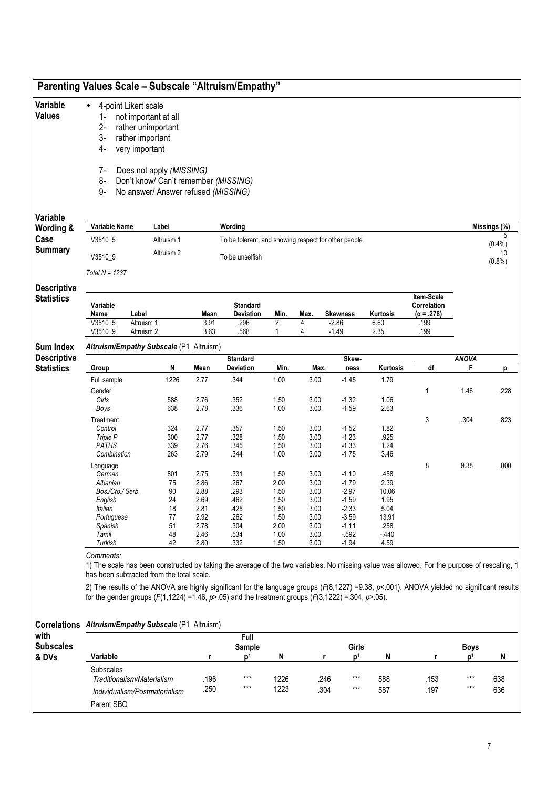|                                        |                                                                               | <b>Parenting Values Scale - Subscale "Altruism/Empathy"</b>                                                                                                                                                                                                           |              |                                     |                     |              |                              |              |                                                |                               |                                |
|----------------------------------------|-------------------------------------------------------------------------------|-----------------------------------------------------------------------------------------------------------------------------------------------------------------------------------------------------------------------------------------------------------------------|--------------|-------------------------------------|---------------------|--------------|------------------------------|--------------|------------------------------------------------|-------------------------------|--------------------------------|
| Variable<br><b>Values</b>              | $\bullet$<br>1-<br>$2-$<br>$3-$<br>4-                                         | 4-point Likert scale<br>not important at all<br>rather unimportant<br>rather important<br>very important                                                                                                                                                              |              |                                     |                     |              |                              |              |                                                |                               |                                |
|                                        | $7-$<br>8-<br>9-                                                              | Does not apply (MISSING)<br>Don't know/ Can't remember (MISSING)<br>No answer/ Answer refused (MISSING)                                                                                                                                                               |              |                                     |                     |              |                              |              |                                                |                               |                                |
| Variable                               |                                                                               |                                                                                                                                                                                                                                                                       |              |                                     |                     |              |                              |              |                                                |                               |                                |
| Wording &                              | Variable Name                                                                 | Label                                                                                                                                                                                                                                                                 |              | Wording                             |                     |              |                              |              |                                                |                               | Missings $\overline{(*)}$<br>5 |
| Case                                   | V3510_5<br>Altruism 1<br>To be tolerant, and showing respect for other people |                                                                                                                                                                                                                                                                       |              |                                     |                     |              |                              |              |                                                |                               | $(0.4\%)$                      |
| <b>Summary</b>                         | V3510_9                                                                       | Altruism 2                                                                                                                                                                                                                                                            |              | To be unselfish                     |                     |              |                              |              |                                                |                               | 10<br>(0.8% )                  |
|                                        | Total $N = 1237$                                                              |                                                                                                                                                                                                                                                                       |              |                                     |                     |              |                              |              |                                                |                               |                                |
| <b>Descriptive</b>                     |                                                                               |                                                                                                                                                                                                                                                                       |              |                                     |                     |              |                              |              |                                                |                               |                                |
| <b>Statistics</b>                      | Variable<br>Name                                                              | Label                                                                                                                                                                                                                                                                 | Mean         | <b>Standard</b><br><b>Deviation</b> | Min.                | Max.         | <b>Skewness</b>              | Kurtosis     | Item-Scale<br>Correlation<br>$(\alpha = .278)$ |                               |                                |
|                                        | $V3510 - 5$<br>V3510_9                                                        | Altruism 1<br>Altruism 2                                                                                                                                                                                                                                              | 3.91<br>3.63 | .296<br>.568                        | $\overline{2}$<br>1 | 4<br>4       | $-2.86$<br>$-1.49$           | 6.60<br>2.35 | .199<br>.199                                   |                               |                                |
|                                        |                                                                               |                                                                                                                                                                                                                                                                       |              |                                     |                     |              |                              |              |                                                |                               |                                |
| <b>Sum Index</b><br><b>Descriptive</b> |                                                                               | Altruism/Empathy Subscale (P1_Altruism)                                                                                                                                                                                                                               |              |                                     |                     |              |                              |              |                                                |                               |                                |
| <b>Statistics</b>                      | Group                                                                         | Ν                                                                                                                                                                                                                                                                     | Mean         | <b>Standard</b><br><b>Deviation</b> | Min.                | Max.         | Skew-<br>ness                | Kurtosis     | df                                             | <b>ANOVA</b><br>F             | р                              |
|                                        | Full sample                                                                   | 1226                                                                                                                                                                                                                                                                  | 2.77         | .344                                | 1.00                | 3.00         | $-1.45$                      | 1.79         |                                                |                               |                                |
|                                        | Gender                                                                        |                                                                                                                                                                                                                                                                       |              |                                     |                     |              |                              |              | 1                                              | 1.46                          | .228                           |
|                                        | Girls                                                                         | 588                                                                                                                                                                                                                                                                   | 2.76         | .352                                | 1.50                | 3.00         | $-1.32$                      | 1.06         |                                                |                               |                                |
|                                        | Boys                                                                          | 638                                                                                                                                                                                                                                                                   | 2.78         | .336                                | 1.00                | 3.00         | $-1.59$                      | 2.63         |                                                |                               |                                |
|                                        | Treatment<br>Control                                                          | 324                                                                                                                                                                                                                                                                   | 2.77         | .357                                | 1.50                | 3.00         | $-1.52$                      | 1.82         | 3                                              | .304                          | .823                           |
|                                        | Triple P                                                                      | 300                                                                                                                                                                                                                                                                   | 2.77         | .328                                | 1.50                | 3.00         | $-1.23$                      | .925         |                                                |                               |                                |
|                                        | <b>PATHS</b><br>Combination                                                   | 339                                                                                                                                                                                                                                                                   | 2.76         | .345                                | 1.50                | 3.00         | $-1.33$                      | 1.24         |                                                |                               |                                |
|                                        |                                                                               | 263                                                                                                                                                                                                                                                                   | 2.79         | .344                                | 1.00                | 3.00         | $-1.75$                      | 3.46         |                                                | 9.38                          | .000                           |
|                                        | Language<br>German                                                            | 801                                                                                                                                                                                                                                                                   | 2.75         | .331                                | 1.50                | 3.00         | $-1.10$                      | .458         | 8                                              |                               |                                |
|                                        | Albanian                                                                      | 75                                                                                                                                                                                                                                                                    | 2.86         | .267                                | 2.00                | 3.00         | $-1.79$                      | 2.39         |                                                |                               |                                |
|                                        | Bos./Cro./ Serb.                                                              | 90                                                                                                                                                                                                                                                                    | 2.88         | .293                                | 1.50                | 3.00         | $-2.97$                      | 10.06        |                                                |                               |                                |
|                                        | English<br>Italian                                                            | 24<br>18                                                                                                                                                                                                                                                              | 2.69<br>2.81 | .462<br>.425                        | 1.50<br>1.50        | 3.00<br>3.00 | $-1.59$<br>$-2.33$           | 1.95<br>5.04 |                                                |                               |                                |
|                                        |                                                                               |                                                                                                                                                                                                                                                                       |              |                                     |                     |              |                              |              |                                                |                               |                                |
|                                        | Portuguese                                                                    | 77                                                                                                                                                                                                                                                                    | 2.92         | .262                                | 1.50                | 3.00         | $-3.59$                      | 13.91        |                                                |                               |                                |
|                                        | Spanish                                                                       | 51                                                                                                                                                                                                                                                                    | 2.78         | .304                                | 2.00                | 3.00         | $-1.11$                      | .258         |                                                |                               |                                |
|                                        | Tamil<br>Turkish                                                              | 48<br>42                                                                                                                                                                                                                                                              | 2.46<br>2.80 | .534<br>.332                        | 1.00<br>1.50        | 3.00<br>3.00 | $-592$<br>$-1.94$            | $-440$       |                                                |                               |                                |
|                                        | Comments:                                                                     | 1) The scale has been constructed by taking the average of the two variables. No missing value was allowed. For the purpose of rescaling, 1<br>has been subtracted from the total scale.                                                                              |              |                                     |                     |              |                              | 4.59         |                                                |                               |                                |
|                                        |                                                                               | 2) The results of the ANOVA are highly significant for the language groups $(F(8,1227) = 9.38, p < .001)$ . ANOVA yielded no significant results<br>for the gender groups $(F(1, 1224) = 1.46, p > 0.05)$ and the treatment groups $(F(3, 1222) = 0.304, p > 0.05)$ . |              |                                     |                     |              |                              |              |                                                |                               |                                |
| <b>Correlations</b>                    |                                                                               | Altruism/Empathy Subscale (P1_Altruism)                                                                                                                                                                                                                               |              |                                     |                     |              |                              |              |                                                |                               |                                |
| with                                   |                                                                               |                                                                                                                                                                                                                                                                       |              | Full                                |                     |              |                              |              |                                                |                               |                                |
| <b>Subscales</b>                       |                                                                               |                                                                                                                                                                                                                                                                       | r            | <b>Sample</b><br>p <sup>1</sup>     | N                   |              | Girls<br>p <sup>1</sup><br>r | N            | r                                              | <b>Boys</b><br>p <sup>1</sup> | N                              |
| & DVs                                  | Variable<br><b>Subscales</b>                                                  |                                                                                                                                                                                                                                                                       |              |                                     |                     |              |                              |              |                                                |                               |                                |
|                                        |                                                                               | Traditionalism/Materialism                                                                                                                                                                                                                                            | .196         | $***$                               | 1226                |              | ***<br>.246                  | 588          | .153                                           | ***                           | 638                            |
|                                        |                                                                               | Individualism/Postmaterialism                                                                                                                                                                                                                                         | .250         | $***$                               | 1223                |              | .304<br>***                  | 587          | .197                                           | $***$                         | 636                            |